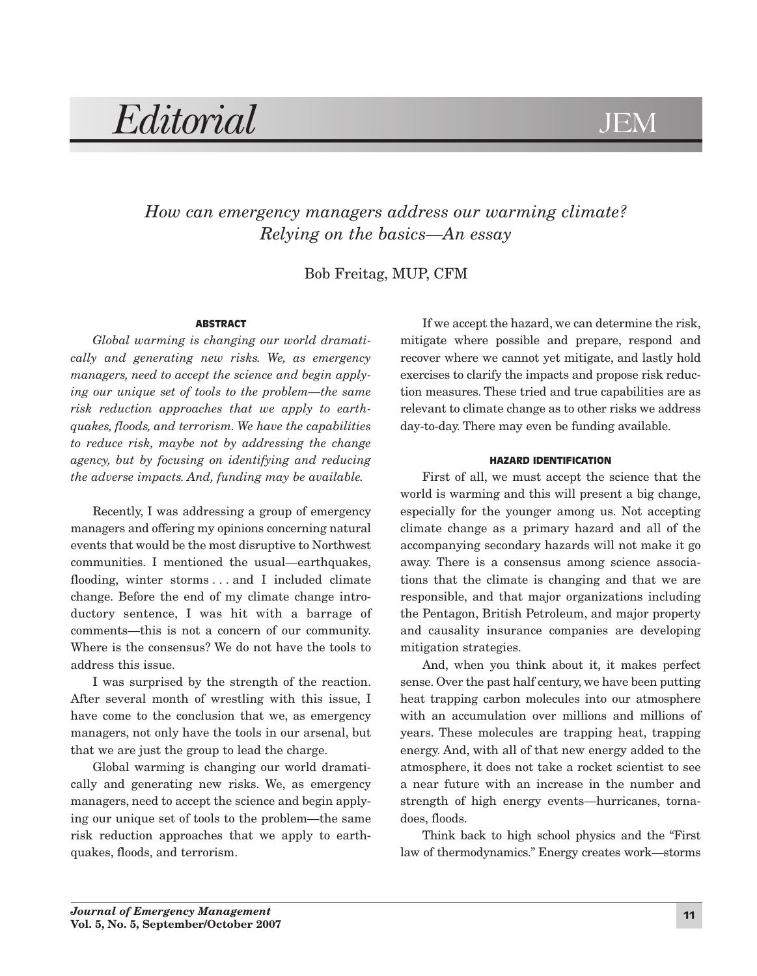# *Editorial* JEM

# *How can emergency managers address our warming climate? Relying on the basics—An essay*

Bob Freitag, MUP, CFM

## ABSTRACT

*Global warming is changing our world dramatically and generating new risks. We, as emergency managers, need to accept the science and begin applying our unique set of tools to the problem—the same risk reduction approaches that we apply to earthquakes, floods, and terrorism. We have the capabilities to reduce risk, maybe not by addressing the change agency, but by focusing on identifying and reducing the adverse impacts. And, funding may be available.*

Recently, I was addressing a group of emergency managers and offering my opinions concerning natural events that would be the most disruptive to Northwest communities. I mentioned the usual—earthquakes, flooding, winter storms . . . and I included climate change. Before the end of my climate change introductory sentence, I was hit with a barrage of comments—this is not a concern of our community. Where is the consensus? We do not have the tools to address this issue.

I was surprised by the strength of the reaction. After several month of wrestling with this issue, I have come to the conclusion that we, as emergency managers, not only have the tools in our arsenal, but that we are just the group to lead the charge.

Global warming is changing our world dramatically and generating new risks. We, as emergency managers, need to accept the science and begin applying our unique set of tools to the problem—the same risk reduction approaches that we apply to earthquakes, floods, and terrorism.

If we accept the hazard, we can determine the risk, mitigate where possible and prepare, respond and recover where we cannot yet mitigate, and lastly hold exercises to clarify the impacts and propose risk reduction measures. These tried and true capabilities are as relevant to climate change as to other risks we address day-to-day. There may even be funding available.

### HAZARD IDENTIFICATION

First of all, we must accept the science that the world is warming and this will present a big change, especially for the younger among us. Not accepting climate change as a primary hazard and all of the accompanying secondary hazards will not make it go away. There is a consensus among science associations that the climate is changing and that we are responsible, and that major organizations including the Pentagon, British Petroleum, and major property and causality insurance companies are developing mitigation strategies.

And, when you think about it, it makes perfect sense. Over the past half century, we have been putting heat trapping carbon molecules into our atmosphere with an accumulation over millions and millions of years. These molecules are trapping heat, trapping energy. And, with all of that new energy added to the atmosphere, it does not take a rocket scientist to see a near future with an increase in the number and strength of high energy events—hurricanes, tornadoes, floods.

Think back to high school physics and the "First law of thermodynamics." Energy creates work—storms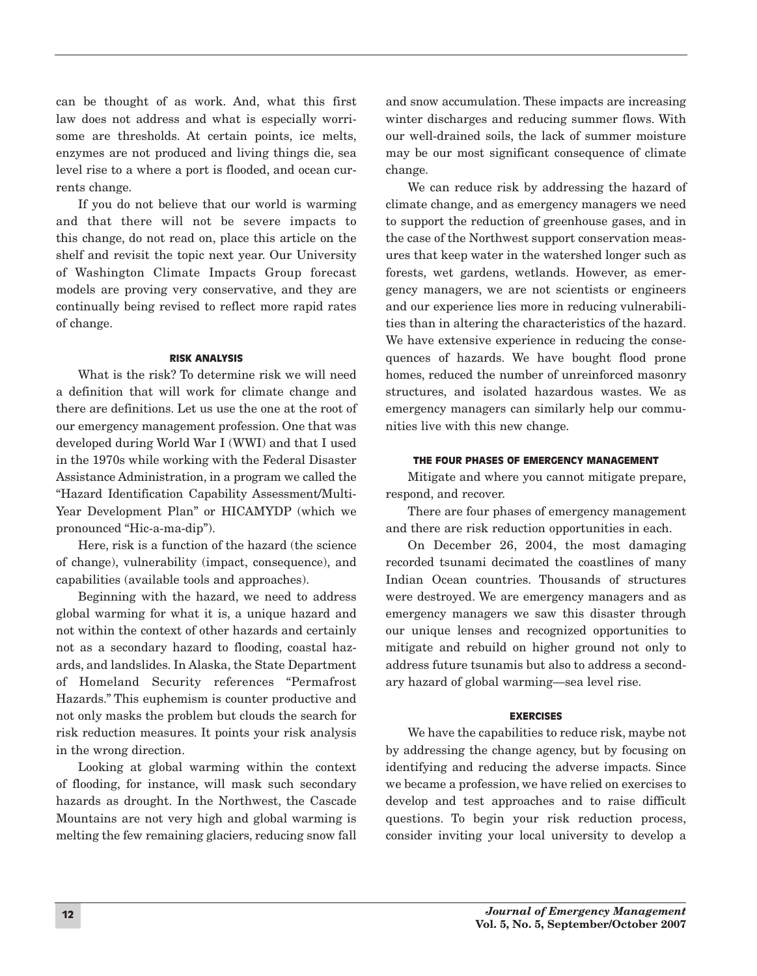can be thought of as work. And, what this first law does not address and what is especially worrisome are thresholds. At certain points, ice melts, enzymes are not produced and living things die, sea level rise to a where a port is flooded, and ocean currents change.

If you do not believe that our world is warming and that there will not be severe impacts to this change, do not read on, place this article on the shelf and revisit the topic next year. Our University of Washington Climate Impacts Group forecast models are proving very conservative, and they are continually being revised to reflect more rapid rates of change.

#### RISK ANALYSIS

What is the risk? To determine risk we will need a definition that will work for climate change and there are definitions. Let us use the one at the root of our emergency management profession. One that was developed during World War I (WWI) and that I used in the 1970s while working with the Federal Disaster Assistance Administration, in a program we called the "Hazard Identification Capability Assessment/Multi-Year Development Plan" or HICAMYDP (which we pronounced "Hic-a-ma-dip").

Here, risk is a function of the hazard (the science of change), vulnerability (impact, consequence), and capabilities (available tools and approaches).

Beginning with the hazard, we need to address global warming for what it is, a unique hazard and not within the context of other hazards and certainly not as a secondary hazard to flooding, coastal hazards, and landslides. In Alaska, the State Department of Homeland Security references "Permafrost Hazards." This euphemism is counter productive and not only masks the problem but clouds the search for risk reduction measures. It points your risk analysis in the wrong direction.

Looking at global warming within the context of flooding, for instance, will mask such secondary hazards as drought. In the Northwest, the Cascade Mountains are not very high and global warming is melting the few remaining glaciers, reducing snow fall

and snow accumulation. These impacts are increasing winter discharges and reducing summer flows. With our well-drained soils, the lack of summer moisture may be our most significant consequence of climate change.

We can reduce risk by addressing the hazard of climate change, and as emergency managers we need to support the reduction of greenhouse gases, and in the case of the Northwest support conservation measures that keep water in the watershed longer such as forests, wet gardens, wetlands. However, as emergency managers, we are not scientists or engineers and our experience lies more in reducing vulnerabilities than in altering the characteristics of the hazard. We have extensive experience in reducing the consequences of hazards. We have bought flood prone homes, reduced the number of unreinforced masonry structures, and isolated hazardous wastes. We as emergency managers can similarly help our communities live with this new change.

### THE FOUR PHASES OF EMERGENCY MANAGEMENT

Mitigate and where you cannot mitigate prepare, respond, and recover.

There are four phases of emergency management and there are risk reduction opportunities in each.

On December 26, 2004, the most damaging recorded tsunami decimated the coastlines of many Indian Ocean countries. Thousands of structures were destroyed. We are emergency managers and as emergency managers we saw this disaster through our unique lenses and recognized opportunities to mitigate and rebuild on higher ground not only to address future tsunamis but also to address a secondary hazard of global warming—sea level rise.

#### EXERCISES

We have the capabilities to reduce risk, maybe not by addressing the change agency, but by focusing on identifying and reducing the adverse impacts. Since we became a profession, we have relied on exercises to develop and test approaches and to raise difficult questions. To begin your risk reduction process, consider inviting your local university to develop a